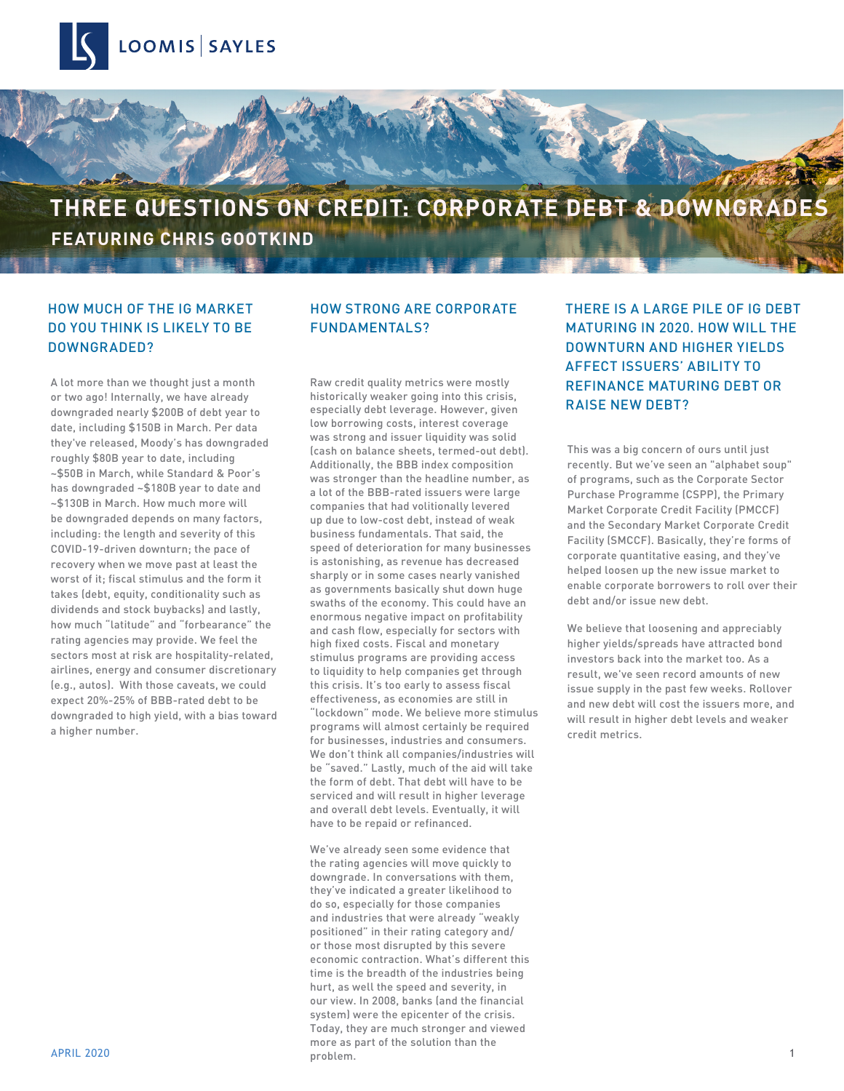

# **THREE QUESTIONS ON CREDIT: CORPORATE DEBT & DOWNGRADES FEATURING CHRIS GOOTKIND**

### HOW MUCH OF THE IG MARKET DO YOU THINK IS LIKELY TO BE DOWNGRADED?

A lot more than we thought just a month or two ago! Internally, we have already downgraded nearly \$200B of debt year to date, including \$150B in March. Per data they've released, Moody's has downgraded roughly \$80B year to date, including ~\$50B in March, while Standard & Poor's has downgraded ~\$180B year to date and ~\$130B in March. How much more will be downgraded depends on many factors, including: the length and severity of this COVID-19-driven downturn; the pace of recovery when we move past at least the worst of it; fiscal stimulus and the form it takes (debt, equity, conditionality such as dividends and stock buybacks) and lastly, how much "latitude" and "forbearance" the rating agencies may provide. We feel the sectors most at risk are hospitality-related, airlines, energy and consumer discretionary (e.g., autos). With those caveats, we could expect 20%-25% of BBB-rated debt to be downgraded to high yield, with a bias toward a higher number.

### HOW STRONG ARE CORPORATE FUNDAMENTALS?

Raw credit quality metrics were mostly historically weaker going into this crisis, especially debt leverage. However, given low borrowing costs, interest coverage was strong and issuer liquidity was solid (cash on balance sheets, termed-out debt). Additionally, the BBB index composition was stronger than the headline number, as a lot of the BBB-rated issuers were large companies that had volitionally levered up due to low-cost debt, instead of weak business fundamentals. That said, the speed of deterioration for many businesses is astonishing, as revenue has decreased sharply or in some cases nearly vanished as governments basically shut down huge swaths of the economy. This could have an enormous negative impact on profitability and cash flow, especially for sectors with high fixed costs. Fiscal and monetary stimulus programs are providing access to liquidity to help companies get through this crisis. It's too early to assess fiscal effectiveness, as economies are still in "lockdown" mode. We believe more stimulus programs will almost certainly be required for businesses, industries and consumers. We don't think all companies/industries will be "saved." Lastly, much of the aid will take the form of debt. That debt will have to be serviced and will result in higher leverage and overall debt levels. Eventually, it will have to be repaid or refinanced.

APRIL 2020 1 We've already seen some evidence that the rating agencies will move quickly to downgrade. In conversations with them, they've indicated a greater likelihood to do so, especially for those companies and industries that were already "weakly positioned" in their rating category and/ or those most disrupted by this severe economic contraction. What's different this time is the breadth of the industries being hurt, as well the speed and severity, in our view. In 2008, banks (and the financial system) were the epicenter of the crisis. Today, they are much stronger and viewed more as part of the solution than the problem.

THERE IS A LARGE PILE OF IG DEBT MATURING IN 2020. HOW WILL THE DOWNTURN AND HIGHER YIELDS AFFECT ISSUERS' ABILITY TO REFINANCE MATURING DEBT OR RAISE NEW DEBT?

This was a big concern of ours until just recently. But we've seen an "alphabet soup" of programs, such as the Corporate Sector Purchase Programme (CSPP), the Primary Market Corporate Credit Facility (PMCCF) and the Secondary Market Corporate Credit Facility (SMCCF). Basically, they're forms of corporate quantitative easing, and they've helped loosen up the new issue market to enable corporate borrowers to roll over their debt and/or issue new debt.

We believe that loosening and appreciably higher yields/spreads have attracted bond investors back into the market too. As a result, we've seen record amounts of new issue supply in the past few weeks. Rollover and new debt will cost the issuers more, and will result in higher debt levels and weaker credit metrics.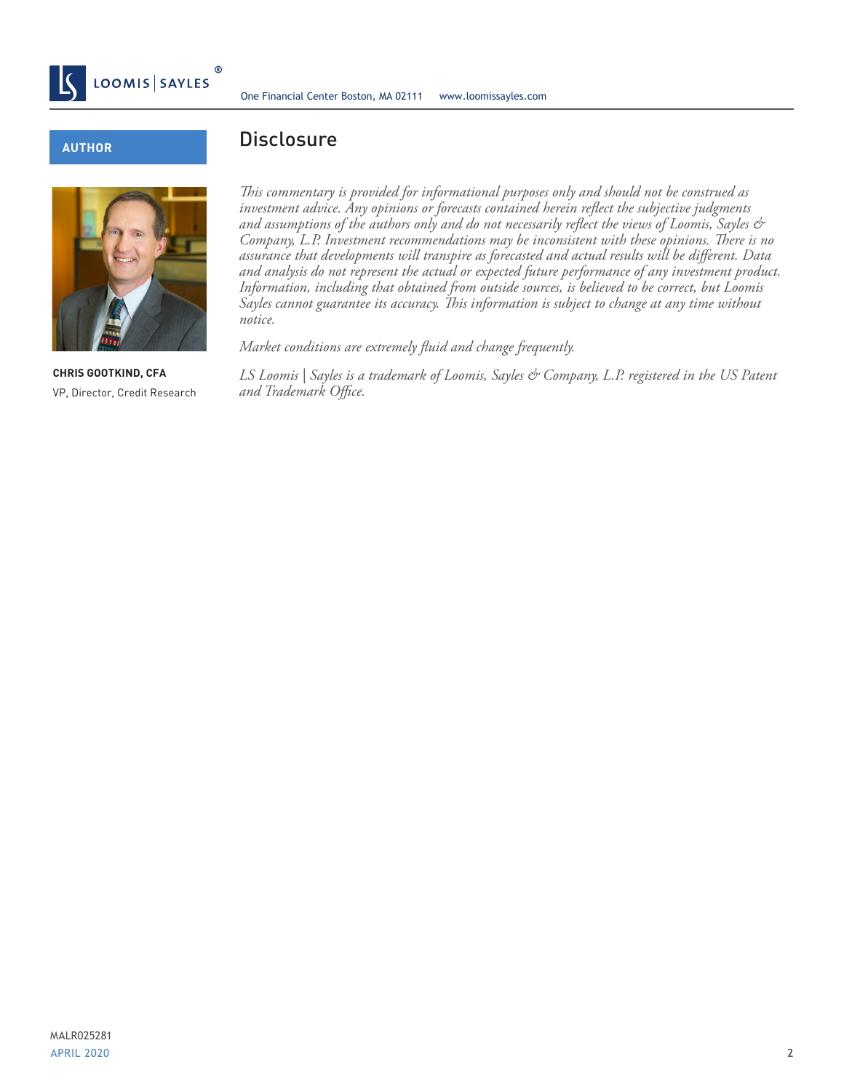

#### **AUTHOR**



**CHRIS GOOTKIND, CFA** VP, Director, Credit Research

## **Disclosure**

*This commentary is provided for informational purposes only and should not be construed as investment advice. Any opinions or forecasts contained herein reflect the subjective judgments and assumptions of the authors only and do not necessarily reflect the views of Loomis, Sayles & Company, L.P. Investment recommendations may be inconsistent with these opinions. There is no assurance that developments will transpire as forecasted and actual results will be different. Data and analysis do not represent the actual or expected future performance of any investment product. Information, including that obtained from outside sources, is believed to be correct, but Loomis Sayles cannot guarantee its accuracy. This information is subject to change at any time without notice.*

*Market conditions are extremely fluid and change frequently.*

*LS Loomis | Sayles is a trademark of Loomis, Sayles & Company, L.P. registered in the US Patent and Trademark Office.*